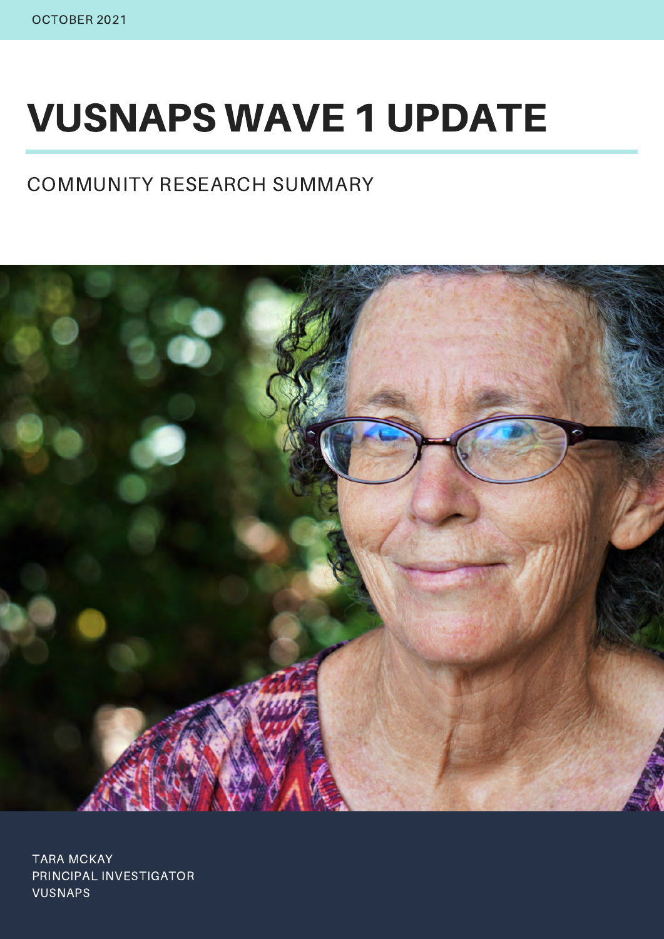# VUSNAPS WAVE 1 UPDATE

#### COMMUNITY RESEARCH SUMMARY



TARA MCKAY PRINCIPAL INVESTIGATOR VUSNAPS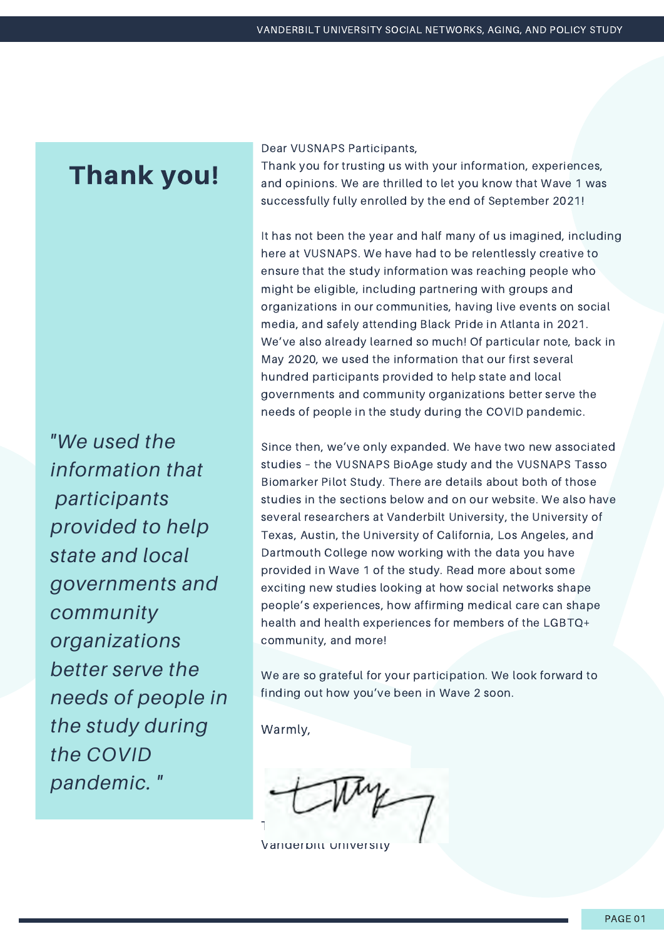#### Thank you!

Dear VUSNAPS Participants,

Thank you for trusting us with your information, experiences, and opinions. We are thrilled to let you know that Wave 1 was successfully fully enrolled by the end of September 2021!

It has not been the year and half many of us imagined, including here at VUSNAPS. We have had to be relentlessly creative to ensure that the study information was reaching people who might be eligible, including partnering with groups and organizations in our communities, having live events on social media, and safely attending Black Pride in Atlanta in 2021. We've also already learned so much! Of particular note, back in May 2020, we used the information that our first several hundred participants provided to help state and local governments and community organizations better serve the needs of people in the study during the COVID pandemic.

Warmly, *"We used the information that participants provided to help state and local governments and community organizations better serve the needs of people in the study during the COVID*

*pandemic. "*

Since then, we've only expanded. We have two new associated studies – the VUSNAPS BioAge study and the VUSNAPS Tasso Biomarker Pilot Study. There are details about both of those studies in the sections below and on our website. We also have several researchers at Vanderbilt University, the University of Texas, Austin, the University of California, Los Angeles, and Dartmouth College now working with the data you have provided in Wave 1 of the study. Read more about some exciting new studies looking at how social networks shape people's experiences, how affirming medical care can shape health and health experiences for members of the LGBTQ+ community, and more!

We are so grateful for your participation. We look forward to finding out how you've been in Wave 2 soon.

Tara McKay, PhD

Vanderbilt University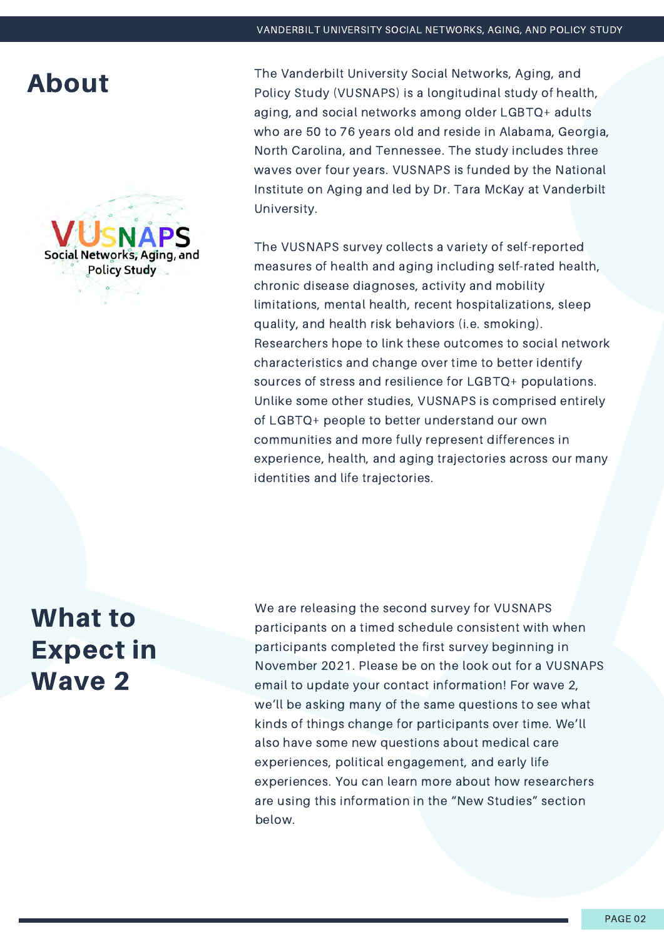

**About** The Vanderbilt University Social Networks, Aging, and<br>Relievance (VIISNADS) is a longitudinal study of boat Policy Study (VUSNAPS) is a longitudinal study of health, aging, and social networks among older LGBTQ+ adults who are 50 to 76 years old and reside in Alabama, Georgia, North Carolina, and Tennessee. The study includes three waves over four years. VUSNAPS is funded by the National Institute on Aging and led by Dr. Tara McKay at Vanderbilt University.

> The VUSNAPS survey collects a variety of self-reported measures of health and aging including self-rated health, chronic disease diagnoses, activity and mobility limitations, mental health, recent hospitalizations, sleep quality, and health risk behaviors (i.e. smoking). Researchers hope to link these outcomes to social network characteristics and change over time to better identify sources of stress and resilience for LGBTQ+ populations. Unlike some other studies, VUSNAPS is comprised entirely of LGBTQ+ people to better understand our own communities and more fully represent differences in experience, health, and aging trajectories across our many identities and life trajectories.

What to Expect in Wave 2

We are releasing the second survey for VUSNAPS participants on a timed schedule consistent with when participants completed the first survey beginning in November 2021. Please be on the look out for a VUSNAPS email to update your contact information! For wave 2, we'll be asking many of the same questions to see what kinds of things change for participants over time. We'll also have some new questions about medical care experiences, political engagement, and early life experiences. You can learn more about how researchers are using this information in the "New Studies" section below.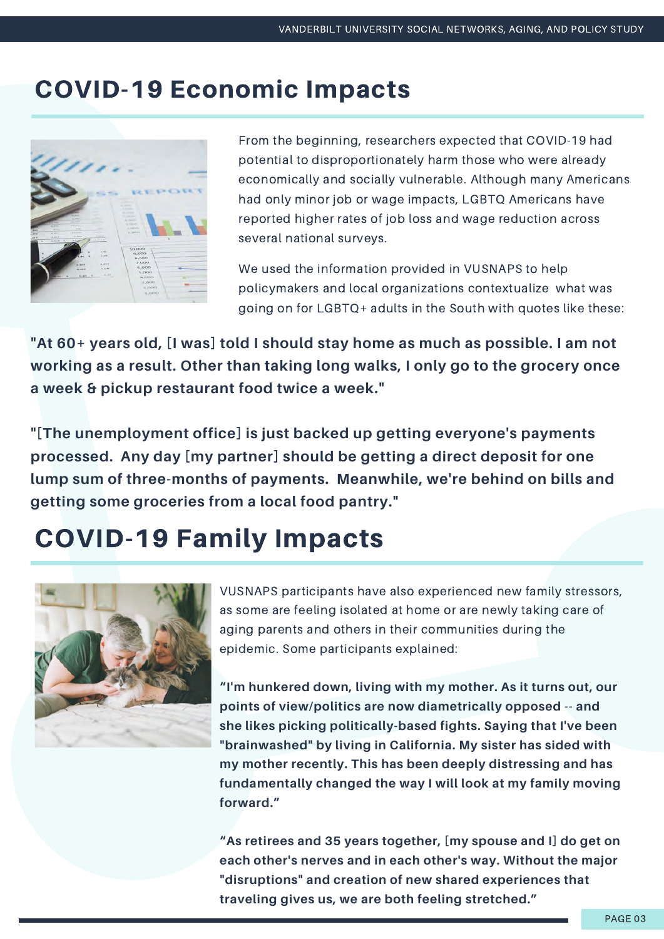#### COVID-19 Economic Impacts



From the beginning, researchers expected that COVID-19 had potential to disproportionately harm those who were already economically and socially vulnerable. Although many Americans had only minor job or wage impacts, LGBTQ Americans have reported higher rates of job loss and wage reduction across several national surveys.

We used the information provided in VUSNAPS to help policymakers and local organizations contextualize what was going on for LGBTQ+ adults in the South with quotes like these:

**"At 60+ years old, [I was] told I should stay home as much as possible. I am not working as a result. Other than taking long walks, I only go to the grocery once a week & pickup restaurant food twice a week."**

**"[The unemployment office] is just backed up getting everyone's payments processed. Any day [my partner] should be getting a direct deposit for one lump sum of three-months of payments. Meanwhile, we're behind on bills and getting some groceries from a local food pantry."**

# COVID-19 Family Impacts



VUSNAPS participants have also experienced new family stressors, as some are feeling isolated at home or are newly taking care of aging parents and others in their communities during the epidemic. Some participants explained:

**"I'm hunkered down, living with my mother. As it turns out, our points of view/politics are now diametrically opposed -- and she likes picking politically-based fights. Saying that I've been "brainwashed" by living in California. My sister has sided with my mother recently. This has been deeply distressing and has fundamentally changed the way I will look at my family moving forward."**

**"As retirees and 35 years together, [my spouse and I] do get on each other's nerves and in each other's way. Without the major "disruptions" and creation of new shared experiences that traveling gives us, we are both feeling stretched."**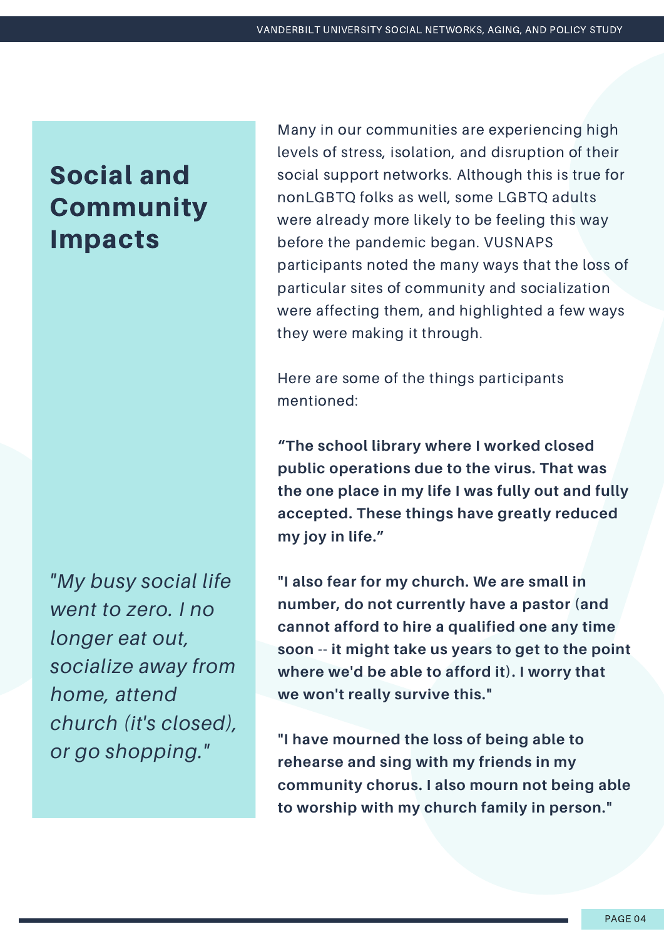# Social and **Community** Impacts

*"My busy social life went to zero. I no longer eat out, socialize away from home, attend church (it's closed), or go shopping."*

Many in our communities are experiencing high levels of stress, isolation, and disruption of their social support networks. Although this is true for nonLGBTQ folks as well, some LGBTQ adults were already more likely to be feeling this way before the pandemic began. VUSNAPS participants noted the many ways that the loss of particular sites of community and socialization were affecting them, and highlighted a few ways they were making it through.

Here are some of the things participants mentioned:

**"The school library where I worked closed public operations due to the virus. That was the one place in my life I was fully out and fully accepted. These things have greatly reduced my joy in life."**

**"I also fear for my church. We are small in number, do not currently have a pastor (and cannot afford to hire a qualified one any time soon -- it might take us years to get to the point where we'd be able to afford it). I worry that we won't really survive this."**

**"I have mourned the loss of being able to rehearse and sing with my friends in my community chorus. I also mourn not being able to worship with my church family in person."**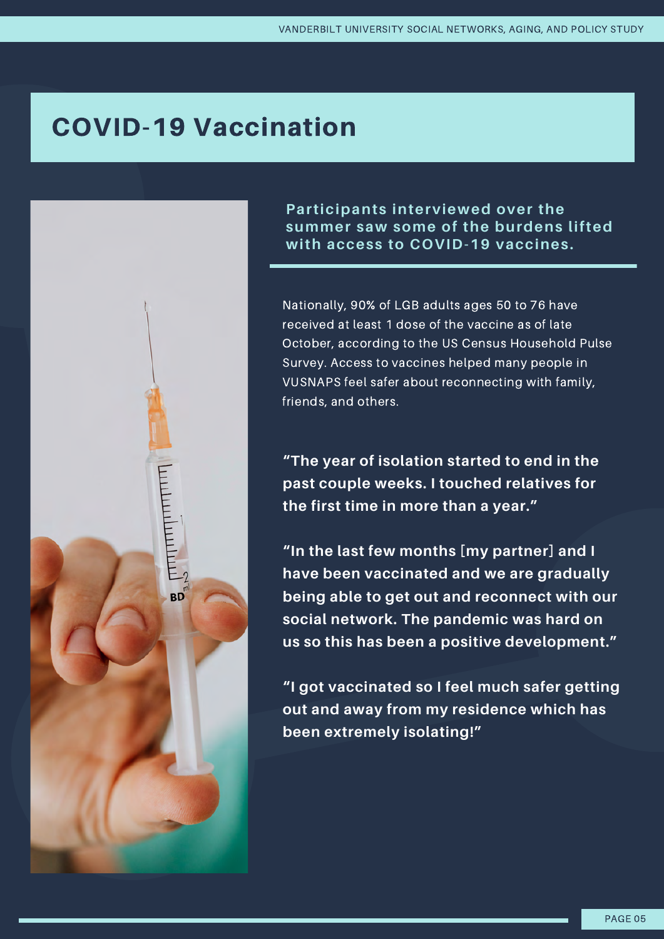# COVID-19 Vaccination

 $\frac{1}{2}$  $BD$  Participants interviewed over the summer saw some of the burdens lifted with access to COVID-19 vaccines.

Nationally, 90% of LGB adults ages 50 to 76 have received at least 1 dose of the vaccine as of late October, according to the US Census Household Pulse Survey. Access to vaccines helped many people in VUSNAPS feel safer about reconnecting with family, friends, and others.

**"The year of isolation started to end in the past couple weeks. I touched relatives for the first time in more than a year."**

**"In the last few months [my partner] and I have been vaccinated and we are gradually being able to get out and reconnect with our social network. The pandemic was hard on us so this has been a positive development."**

**"I got vaccinated so I feel much safer getting out and away from my residence which has been extremely isolating!"**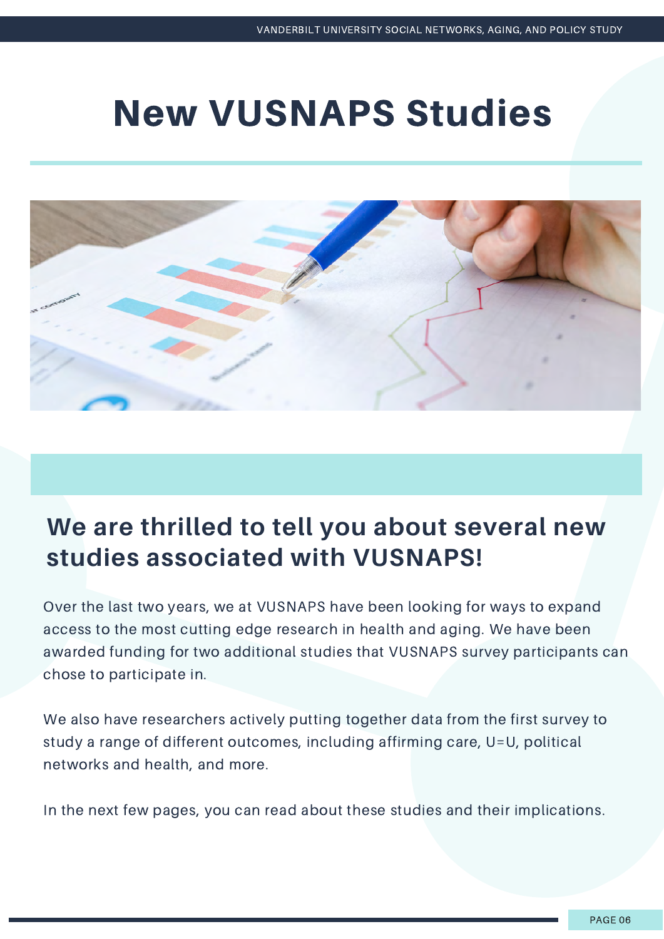# New VUSNAPS Studies



### **We are thrilled to tell you about several new studies associated with VUSNAPS!**

Over the last two years, we at VUSNAPS have been looking for ways to expand access to the most cutting edge research in health and aging. We have been awarded funding for two additional studies that VUSNAPS survey participants can chose to participate in.

We also have researchers actively putting together data from the first survey to study a range of different outcomes, including affirming care, U=U, political networks and health, and more.

In the next few pages, you can read about these studies and their implications.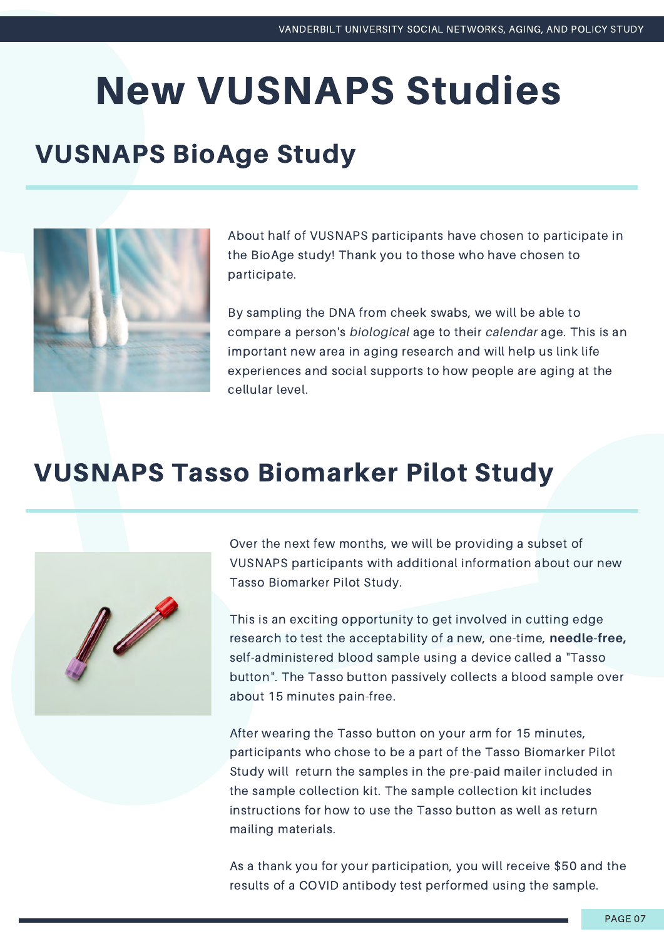# New VUSNAPS Studies

# VUSNAPS BioAge Study



About half of VUSNAPS participants have chosen to participate in the BioAge study! Thank you to those who have chosen to participate.

By sampling the DNA from cheek swabs, we will be able to compare a person's *biological* age to their *calendar* age. This is an important new area in aging research and will help us link life experiences and social supports to how people are aging at the cellular level.

# VUSNAPS Tasso Biomarker Pilot Study



Over the next few months, we will be providing a subset of VUSNAPS participants with additional information about our new Tasso Biomarker Pilot Study.

This is an exciting opportunity to get involved in cutting edge research to test the acceptability of a new, one-time, **needle-free,** self-administered blood sample using a device called a "Tasso button". The Tasso button passively collects a blood sample over about 15 minutes pain-free.

After wearing the Tasso button on your arm for 15 minutes, participants who chose to be a part of the Tasso Biomarker Pilot Study will return the samples in the pre-paid mailer included in the sample collection kit. The sample collection kit includes instructions for how to use the Tasso button as well as return mailing materials.

As a thank you for your participation, you will receive \$50 and the results of a COVID antibody test performed using the sample.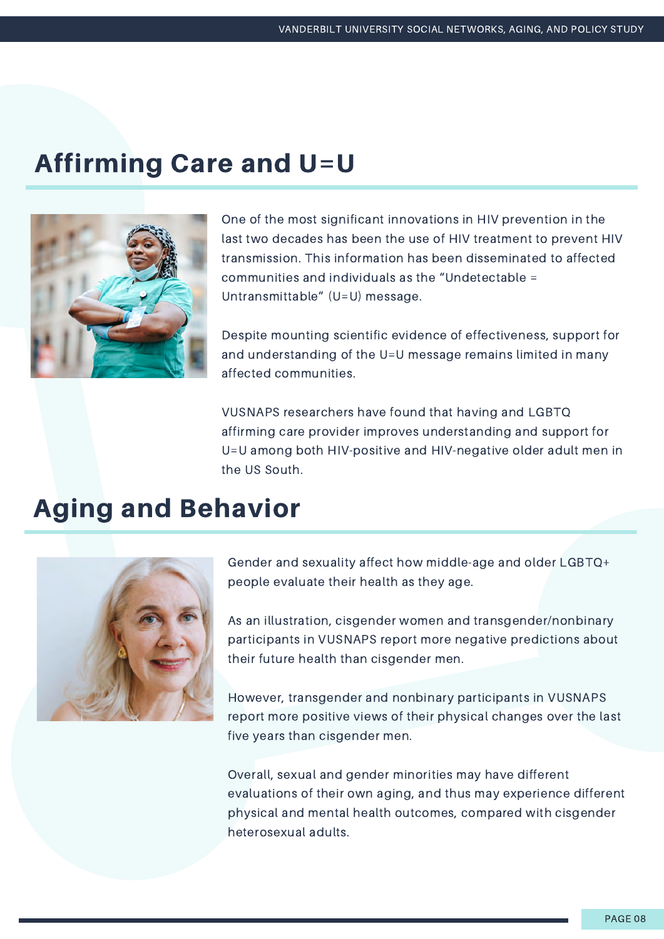# Affirming Care and U=U



One of the most significant innovations in HIV prevention in the last two decades has been the use of HIV treatment to prevent HIV transmission. This information has been disseminated to affected communities and individuals as the "Undetectable = Untransmittable" (U=U) message.

Despite mounting scientific evidence of effectiveness, support for and understanding of the U=U message remains limited in many affected communities.

VUSNAPS researchers have found that having and LGBTQ affirming care provider improves understanding and support for U=U among both HIV-positive and HIV-negative older adult men in the US South.

## Aging and Behavior



Gender and sexuality affect how middle-age and older LGBTQ+ people evaluate their health as they age.

As an illustration, cisgender women and transgender/nonbinary participants in VUSNAPS report more negative predictions about their future health than cisgender men.

However, transgender and nonbinary participants in VUSNAPS report more positive views of their physical changes over the last five years than cisgender men.

Overall, sexual and gender minorities may have different evaluations of their own aging, and thus may experience different physical and mental health outcomes, compared with cisgender heterosexual adults.